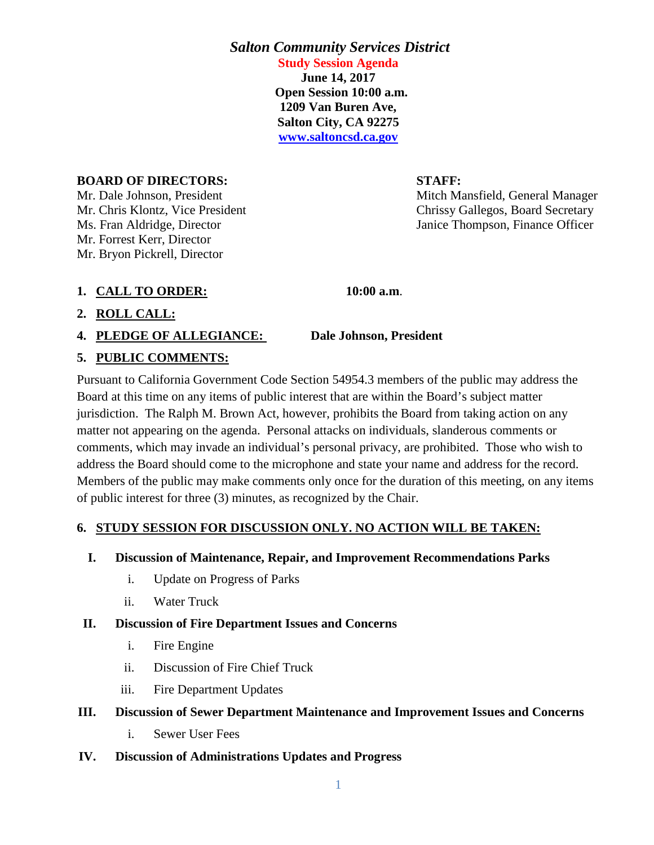# *Salton Community Services District* **Study Session Agenda**

**June 14, 2017 Open Session 10:00 a.m. 1209 Van Buren Ave, Salton City, CA 92275 [www.saltoncsd.ca.gov](http://www.saltoncsd.ca.gov/)**

#### **BOARD OF DIRECTORS: STAFF:**

Mr. Dale Johnson, President Mitch Mansfield, General Manager Mr. Forrest Kerr, Director Mr. Bryon Pickrell, Director

Mr. Chris Klontz, Vice President Chrissy Gallegos, Board Secretary Ms. Fran Aldridge, Director Janice Thompson, Finance Officer

**1. CALL TO ORDER: 10:00 a.m**.

# **2. ROLL CALL:**

**4. PLEDGE OF ALLEGIANCE: Dale Johnson, President**

# **5. PUBLIC COMMENTS:**

Pursuant to California Government Code Section 54954.3 members of the public may address the Board at this time on any items of public interest that are within the Board's subject matter jurisdiction. The Ralph M. Brown Act, however, prohibits the Board from taking action on any matter not appearing on the agenda. Personal attacks on individuals, slanderous comments or comments, which may invade an individual's personal privacy, are prohibited. Those who wish to address the Board should come to the microphone and state your name and address for the record. Members of the public may make comments only once for the duration of this meeting, on any items of public interest for three (3) minutes, as recognized by the Chair.

# **6. STUDY SESSION FOR DISCUSSION ONLY. NO ACTION WILL BE TAKEN:**

- **I. Discussion of Maintenance, Repair, and Improvement Recommendations Parks** 
	- i. Update on Progress of Parks
	- ii. Water Truck

# **II. Discussion of Fire Department Issues and Concerns**

- i. Fire Engine
- ii. Discussion of Fire Chief Truck
- iii. Fire Department Updates

# **III. Discussion of Sewer Department Maintenance and Improvement Issues and Concerns**

i. Sewer User Fees

#### **IV. Discussion of Administrations Updates and Progress**